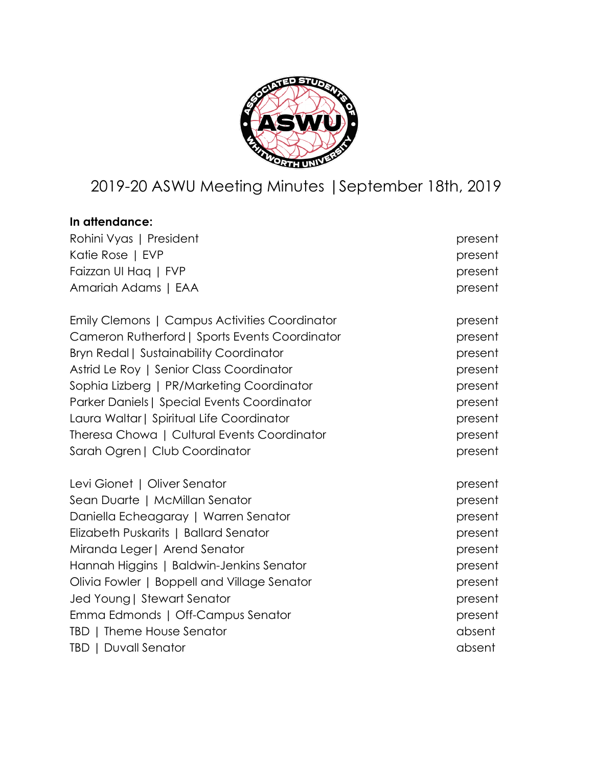

# 2019-20 ASWU Meeting Minutes |September 18th, 2019

| In attendance:                                 |         |
|------------------------------------------------|---------|
| Rohini Vyas   President                        | present |
| Katie Rose   EVP                               | present |
| Faizzan UI Hag   FVP                           | present |
| Amariah Adams   EAA                            | present |
| Emily Clemons   Campus Activities Coordinator  | present |
| Cameron Rutherford   Sports Events Coordinator | present |
| <b>Bryn Redal   Sustainability Coordinator</b> | present |
| Astrid Le Roy   Senior Class Coordinator       | present |
| Sophia Lizberg   PR/Marketing Coordinator      | present |
| Parker Daniels   Special Events Coordinator    | present |
| Laura Waltar   Spiritual Life Coordinator      | present |
| Theresa Chowa   Cultural Events Coordinator    | present |
| Sarah Ogren   Club Coordinator                 | present |
| Levi Gionet   Oliver Senator                   | present |
| Sean Duarte   McMillan Senator                 | present |
| Daniella Echeagaray   Warren Senator           | present |
| Elizabeth Puskarits   Ballard Senator          | present |
| Miranda Leger   Arend Senator                  | present |
| Hannah Higgins   Baldwin-Jenkins Senator       | present |
| Olivia Fowler   Boppell and Village Senator    | present |
| Jed Young   Stewart Senator                    | present |
| Emma Edmonds   Off-Campus Senator              | present |
| TBD   Theme House Senator                      | absent  |
| <b>TBD   Duvall Senator</b>                    | absent  |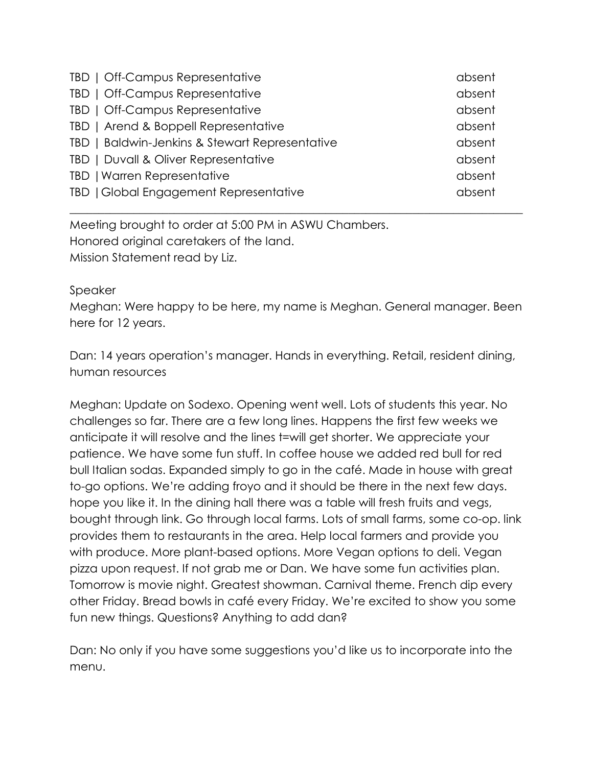| TBD   Off-Campus Representative                | absent |
|------------------------------------------------|--------|
| TBD   Off-Campus Representative                | absent |
| TBD   Off-Campus Representative                | absent |
| TBD   Arend & Boppell Representative           | absent |
| TBD   Baldwin-Jenkins & Stewart Representative | absent |
| TBD   Duvall & Oliver Representative           | absent |
| TBD   Warren Representative                    | absent |
| TBD   Global Engagement Representative         | absent |

Meeting brought to order at 5:00 PM in ASWU Chambers. Honored original caretakers of the land. Mission Statement read by Liz.

#### Speaker

Meghan: Were happy to be here, my name is Meghan. General manager. Been here for 12 years.

\_\_\_\_\_\_\_\_\_\_\_\_\_\_\_\_\_\_\_\_\_\_\_\_\_\_\_\_\_\_\_\_\_\_\_\_\_\_\_\_\_\_\_\_\_\_\_\_\_\_\_\_\_\_\_\_\_\_\_\_\_\_\_\_\_\_\_\_\_\_\_\_\_\_\_\_\_\_

Dan: 14 years operation's manager. Hands in everything. Retail, resident dining, human resources

Meghan: Update on Sodexo. Opening went well. Lots of students this year. No challenges so far. There are a few long lines. Happens the first few weeks we anticipate it will resolve and the lines t=will get shorter. We appreciate your patience. We have some fun stuff. In coffee house we added red bull for red bull Italian sodas. Expanded simply to go in the café. Made in house with great to-go options. We're adding froyo and it should be there in the next few days. hope you like it. In the dining hall there was a table will fresh fruits and vegs, bought through link. Go through local farms. Lots of small farms, some co-op. link provides them to restaurants in the area. Help local farmers and provide you with produce. More plant-based options. More Vegan options to deli. Vegan pizza upon request. If not grab me or Dan. We have some fun activities plan. Tomorrow is movie night. Greatest showman. Carnival theme. French dip every other Friday. Bread bowls in café every Friday. We're excited to show you some fun new things. Questions? Anything to add dan?

Dan: No only if you have some suggestions you'd like us to incorporate into the menu.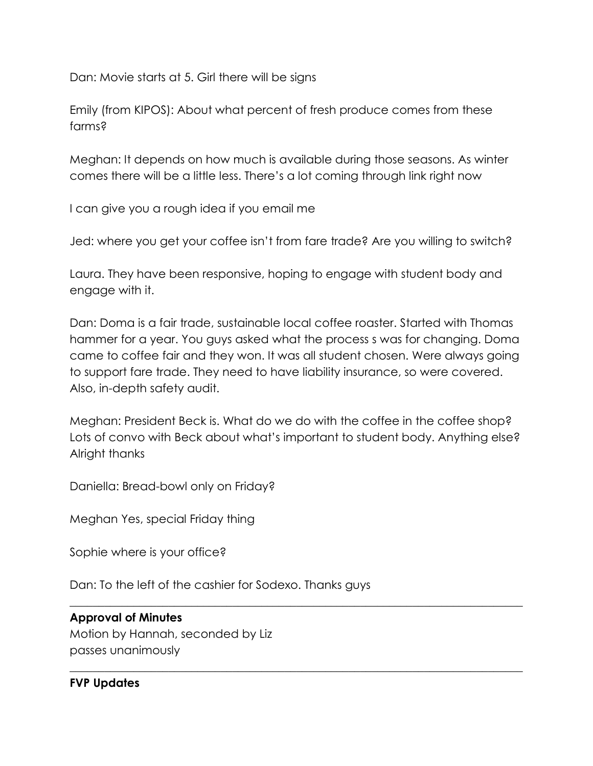Dan: Movie starts at 5. Girl there will be signs

Emily (from KIPOS): About what percent of fresh produce comes from these farms?

Meghan: It depends on how much is available during those seasons. As winter comes there will be a little less. There's a lot coming through link right now

I can give you a rough idea if you email me

Jed: where you get your coffee isn't from fare trade? Are you willing to switch?

Laura. They have been responsive, hoping to engage with student body and engage with it.

Dan: Doma is a fair trade, sustainable local coffee roaster. Started with Thomas hammer for a year. You guys asked what the process s was for changing. Doma came to coffee fair and they won. It was all student chosen. Were always going to support fare trade. They need to have liability insurance, so were covered. Also, in-depth safety audit.

Meghan: President Beck is. What do we do with the coffee in the coffee shop? Lots of convo with Beck about what's important to student body. Anything else? Alright thanks

\_\_\_\_\_\_\_\_\_\_\_\_\_\_\_\_\_\_\_\_\_\_\_\_\_\_\_\_\_\_\_\_\_\_\_\_\_\_\_\_\_\_\_\_\_\_\_\_\_\_\_\_\_\_\_\_\_\_\_\_\_\_\_\_\_\_\_\_\_\_\_\_\_\_\_\_\_\_

\_\_\_\_\_\_\_\_\_\_\_\_\_\_\_\_\_\_\_\_\_\_\_\_\_\_\_\_\_\_\_\_\_\_\_\_\_\_\_\_\_\_\_\_\_\_\_\_\_\_\_\_\_\_\_\_\_\_\_\_\_\_\_\_\_\_\_\_\_\_\_\_\_\_\_\_\_\_

Daniella: Bread-bowl only on Friday?

Meghan Yes, special Friday thing

Sophie where is your office?

Dan: To the left of the cashier for Sodexo. Thanks guys

#### **Approval of Minutes**

Motion by Hannah, seconded by Liz passes unanimously

#### **FVP Updates**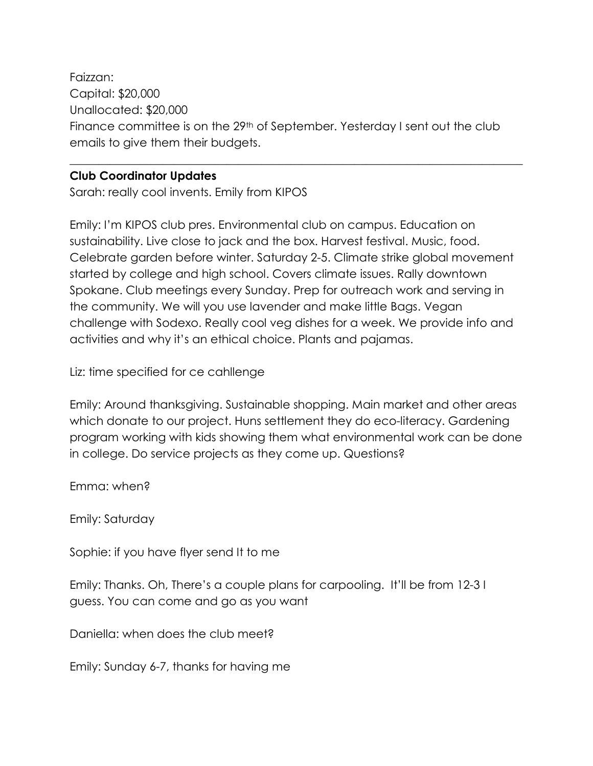Faizzan: Capital: \$20,000 Unallocated: \$20,000 Finance committee is on the 29<sup>th</sup> of September. Yesterday I sent out the club emails to give them their budgets.

\_\_\_\_\_\_\_\_\_\_\_\_\_\_\_\_\_\_\_\_\_\_\_\_\_\_\_\_\_\_\_\_\_\_\_\_\_\_\_\_\_\_\_\_\_\_\_\_\_\_\_\_\_\_\_\_\_\_\_\_\_\_\_\_\_\_\_\_\_\_\_\_\_\_\_\_\_\_

#### **Club Coordinator Updates**

Sarah: really cool invents. Emily from KIPOS

Emily: I'm KIPOS club pres. Environmental club on campus. Education on sustainability. Live close to jack and the box. Harvest festival. Music, food. Celebrate garden before winter. Saturday 2-5. Climate strike global movement started by college and high school. Covers climate issues. Rally downtown Spokane. Club meetings every Sunday. Prep for outreach work and serving in the community. We will you use lavender and make little Bags. Vegan challenge with Sodexo. Really cool veg dishes for a week. We provide info and activities and why it's an ethical choice. Plants and pajamas.

Liz: time specified for ce cahllenge

Emily: Around thanksgiving. Sustainable shopping. Main market and other areas which donate to our project. Huns settlement they do eco-literacy. Gardening program working with kids showing them what environmental work can be done in college. Do service projects as they come up. Questions?

Emma: when?

Emily: Saturday

Sophie: if you have flyer send It to me

Emily: Thanks. Oh, There's a couple plans for carpooling. It'll be from 12-3 I guess. You can come and go as you want

Daniella: when does the club meet?

Emily: Sunday 6-7, thanks for having me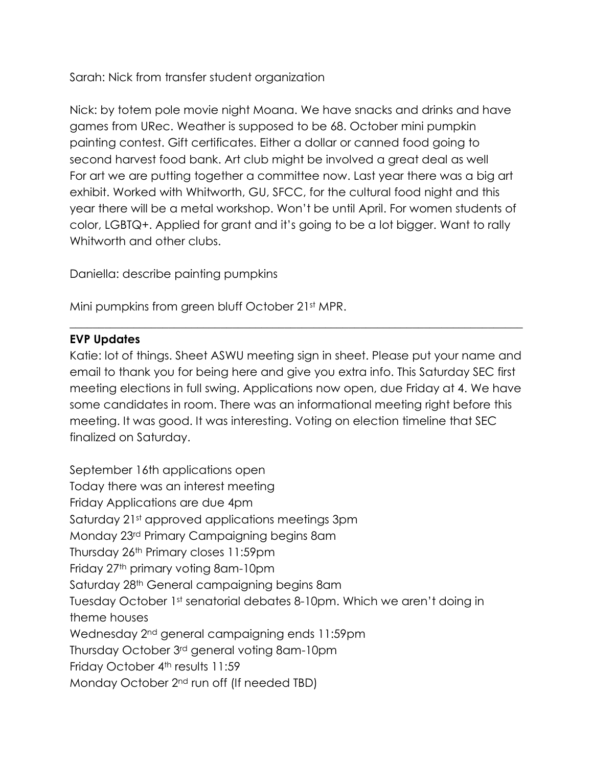Sarah: Nick from transfer student organization

Nick: by totem pole movie night Moana. We have snacks and drinks and have games from URec. Weather is supposed to be 68. October mini pumpkin painting contest. Gift certificates. Either a dollar or canned food going to second harvest food bank. Art club might be involved a great deal as well For art we are putting together a committee now. Last year there was a big art exhibit. Worked with Whitworth, GU, SFCC, for the cultural food night and this year there will be a metal workshop. Won't be until April. For women students of color, LGBTQ+. Applied for grant and it's going to be a lot bigger. Want to rally Whitworth and other clubs.

Daniella: describe painting pumpkins

Mini pumpkins from green bluff October 21st MPR.

#### **EVP Updates**

Katie: lot of things. Sheet ASWU meeting sign in sheet. Please put your name and email to thank you for being here and give you extra info. This Saturday SEC first meeting elections in full swing. Applications now open, due Friday at 4. We have some candidates in room. There was an informational meeting right before this meeting. It was good. It was interesting. Voting on election timeline that SEC finalized on Saturday.

\_\_\_\_\_\_\_\_\_\_\_\_\_\_\_\_\_\_\_\_\_\_\_\_\_\_\_\_\_\_\_\_\_\_\_\_\_\_\_\_\_\_\_\_\_\_\_\_\_\_\_\_\_\_\_\_\_\_\_\_\_\_\_\_\_\_\_\_\_\_\_\_\_\_\_\_\_\_

September 16th applications open Today there was an interest meeting Friday Applications are due 4pm Saturday 21st approved applications meetings 3pm Monday 23rd Primary Campaigning begins 8am Thursday 26th Primary closes 11:59pm Friday 27th primary voting 8am-10pm Saturday 28th General campaigning begins 8am Tuesday October 1st senatorial debates 8-10pm. Which we aren't doing in theme houses Wednesday 2nd general campaigning ends 11:59pm Thursday October 3rd general voting 8am-10pm Friday October 4<sup>th</sup> results 11:59 Monday October 2nd run off (If needed TBD)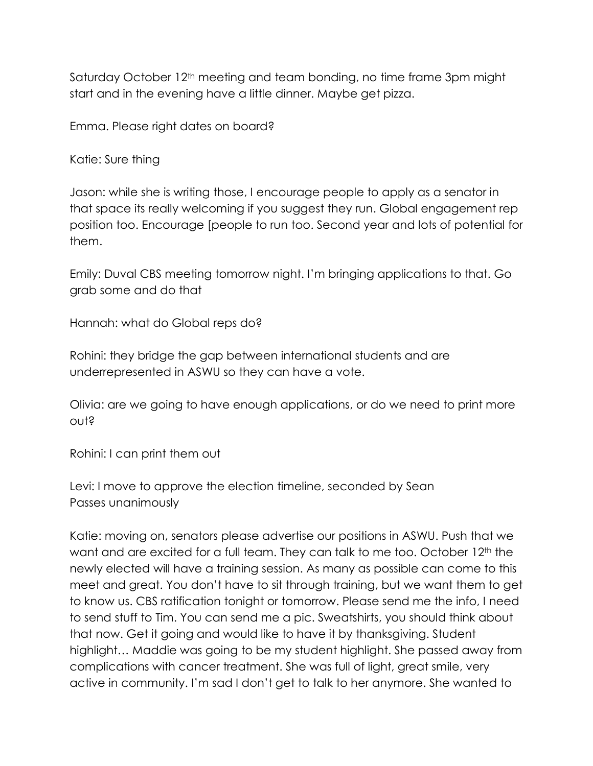Saturday October 12<sup>th</sup> meeting and team bonding, no time frame 3pm might start and in the evening have a little dinner. Maybe get pizza.

Emma. Please right dates on board?

Katie: Sure thing

Jason: while she is writing those, I encourage people to apply as a senator in that space its really welcoming if you suggest they run. Global engagement rep position too. Encourage [people to run too. Second year and lots of potential for them.

Emily: Duval CBS meeting tomorrow night. I'm bringing applications to that. Go grab some and do that

Hannah: what do Global reps do?

Rohini: they bridge the gap between international students and are underrepresented in ASWU so they can have a vote.

Olivia: are we going to have enough applications, or do we need to print more out?

Rohini: I can print them out

Levi: I move to approve the election timeline, seconded by Sean Passes unanimously

Katie: moving on, senators please advertise our positions in ASWU. Push that we want and are excited for a full team. They can talk to me too. October 12<sup>th</sup> the newly elected will have a training session. As many as possible can come to this meet and great. You don't have to sit through training, but we want them to get to know us. CBS ratification tonight or tomorrow. Please send me the info, I need to send stuff to Tim. You can send me a pic. Sweatshirts, you should think about that now. Get it going and would like to have it by thanksgiving. Student highlight… Maddie was going to be my student highlight. She passed away from complications with cancer treatment. She was full of light, great smile, very active in community. I'm sad I don't get to talk to her anymore. She wanted to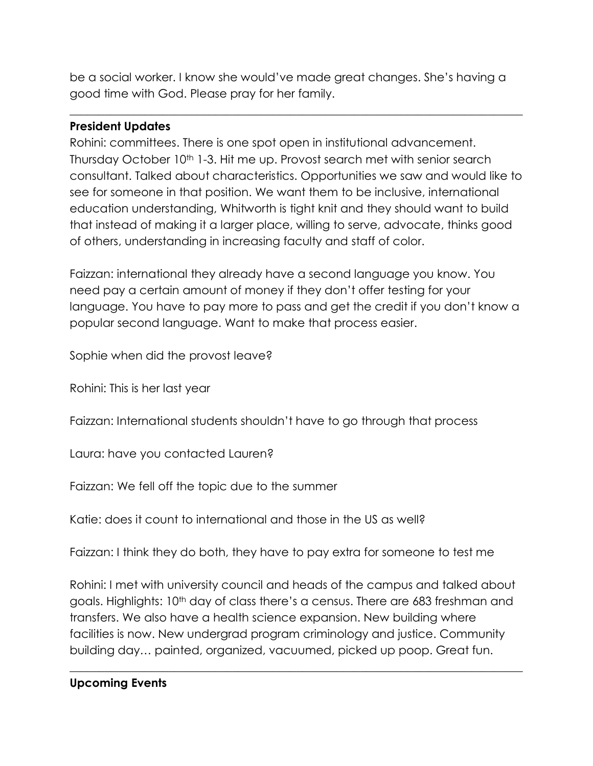be a social worker. I know she would've made great changes. She's having a good time with God. Please pray for her family.

\_\_\_\_\_\_\_\_\_\_\_\_\_\_\_\_\_\_\_\_\_\_\_\_\_\_\_\_\_\_\_\_\_\_\_\_\_\_\_\_\_\_\_\_\_\_\_\_\_\_\_\_\_\_\_\_\_\_\_\_\_\_\_\_\_\_\_\_\_\_\_\_\_\_\_\_\_\_

#### **President Updates**

Rohini: committees. There is one spot open in institutional advancement. Thursday October 10<sup>th</sup> 1-3. Hit me up. Provost search met with senior search consultant. Talked about characteristics. Opportunities we saw and would like to see for someone in that position. We want them to be inclusive, international education understanding, Whitworth is tight knit and they should want to build that instead of making it a larger place, willing to serve, advocate, thinks good of others, understanding in increasing faculty and staff of color.

Faizzan: international they already have a second language you know. You need pay a certain amount of money if they don't offer testing for your language. You have to pay more to pass and get the credit if you don't know a popular second language. Want to make that process easier.

Sophie when did the provost leave?

Rohini: This is her last year

Faizzan: International students shouldn't have to go through that process

Laura: have you contacted Lauren?

Faizzan: We fell off the topic due to the summer

Katie: does it count to international and those in the US as well?

Faizzan: I think they do both, they have to pay extra for someone to test me

Rohini: I met with university council and heads of the campus and talked about goals. Highlights: 10<sup>th</sup> day of class there's a census. There are 683 freshman and transfers. We also have a health science expansion. New building where facilities is now. New undergrad program criminology and justice. Community building day… painted, organized, vacuumed, picked up poop. Great fun.

\_\_\_\_\_\_\_\_\_\_\_\_\_\_\_\_\_\_\_\_\_\_\_\_\_\_\_\_\_\_\_\_\_\_\_\_\_\_\_\_\_\_\_\_\_\_\_\_\_\_\_\_\_\_\_\_\_\_\_\_\_\_\_\_\_\_\_\_\_\_\_\_\_\_\_\_\_\_

# **Upcoming Events**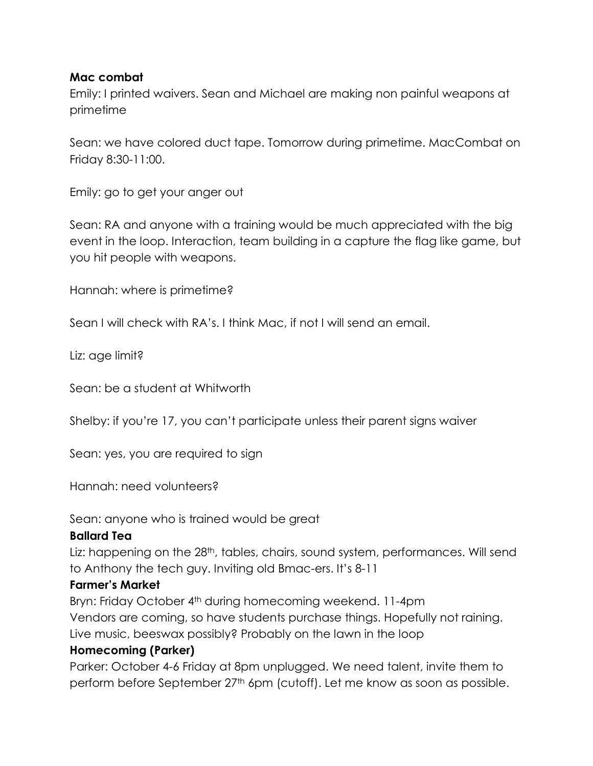#### **Mac combat**

Emily: I printed waivers. Sean and Michael are making non painful weapons at primetime

Sean: we have colored duct tape. Tomorrow during primetime. MacCombat on Friday 8:30-11:00.

Emily: go to get your anger out

Sean: RA and anyone with a training would be much appreciated with the big event in the loop. Interaction, team building in a capture the flag like game, but you hit people with weapons.

Hannah: where is primetime?

Sean I will check with RA's. I think Mac, if not I will send an email.

Liz: age limit?

Sean: be a student at Whitworth

Shelby: if you're 17, you can't participate unless their parent signs waiver

Sean: yes, you are required to sign

Hannah: need volunteers?

Sean: anyone who is trained would be great

#### **Ballard Tea**

Liz: happening on the 28<sup>th</sup>, tables, chairs, sound system, performances. Will send to Anthony the tech guy. Inviting old Bmac-ers. It's 8-11

# **Farmer's Market**

Bryn: Friday October 4<sup>th</sup> during homecoming weekend. 11-4pm Vendors are coming, so have students purchase things. Hopefully not raining. Live music, beeswax possibly? Probably on the lawn in the loop

# **Homecoming (Parker)**

Parker: October 4-6 Friday at 8pm unplugged. We need talent, invite them to perform before September 27<sup>th</sup> 6pm (cutoff). Let me know as soon as possible.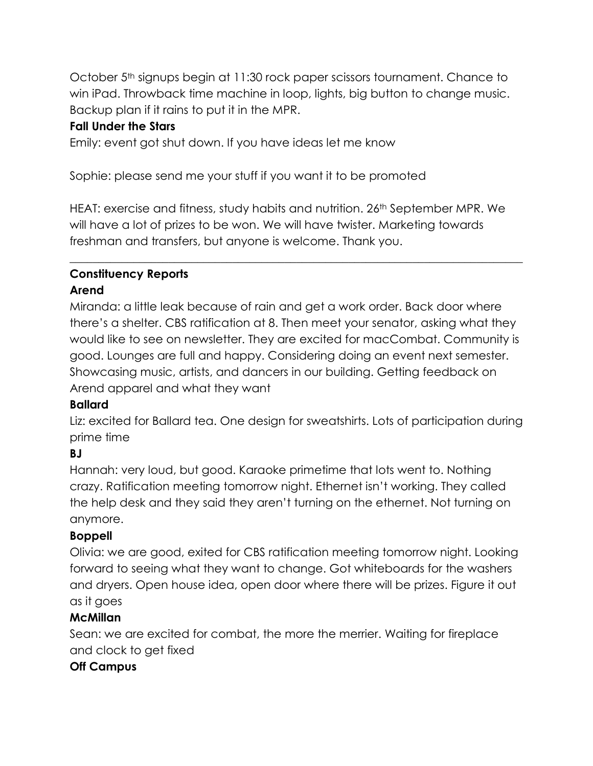October 5th signups begin at 11:30 rock paper scissors tournament. Chance to win iPad. Throwback time machine in loop, lights, big button to change music. Backup plan if it rains to put it in the MPR.

#### **Fall Under the Stars**

Emily: event got shut down. If you have ideas let me know

Sophie: please send me your stuff if you want it to be promoted

HEAT: exercise and fitness, study habits and nutrition. 26<sup>th</sup> September MPR. We will have a lot of prizes to be won. We will have twister. Marketing towards freshman and transfers, but anyone is welcome. Thank you.

\_\_\_\_\_\_\_\_\_\_\_\_\_\_\_\_\_\_\_\_\_\_\_\_\_\_\_\_\_\_\_\_\_\_\_\_\_\_\_\_\_\_\_\_\_\_\_\_\_\_\_\_\_\_\_\_\_\_\_\_\_\_\_\_\_\_\_\_\_\_\_\_\_\_\_\_\_\_

#### **Constituency Reports Arend**

Miranda: a little leak because of rain and get a work order. Back door where there's a shelter. CBS ratification at 8. Then meet your senator, asking what they would like to see on newsletter. They are excited for macCombat. Community is good. Lounges are full and happy. Considering doing an event next semester. Showcasing music, artists, and dancers in our building. Getting feedback on Arend apparel and what they want

# **Ballard**

Liz: excited for Ballard tea. One design for sweatshirts. Lots of participation during prime time

# **BJ**

Hannah: very loud, but good. Karaoke primetime that lots went to. Nothing crazy. Ratification meeting tomorrow night. Ethernet isn't working. They called the help desk and they said they aren't turning on the ethernet. Not turning on anymore.

# **Boppell**

Olivia: we are good, exited for CBS ratification meeting tomorrow night. Looking forward to seeing what they want to change. Got whiteboards for the washers and dryers. Open house idea, open door where there will be prizes. Figure it out as it goes

# **McMillan**

Sean: we are excited for combat, the more the merrier. Waiting for fireplace and clock to get fixed

# **Off Campus**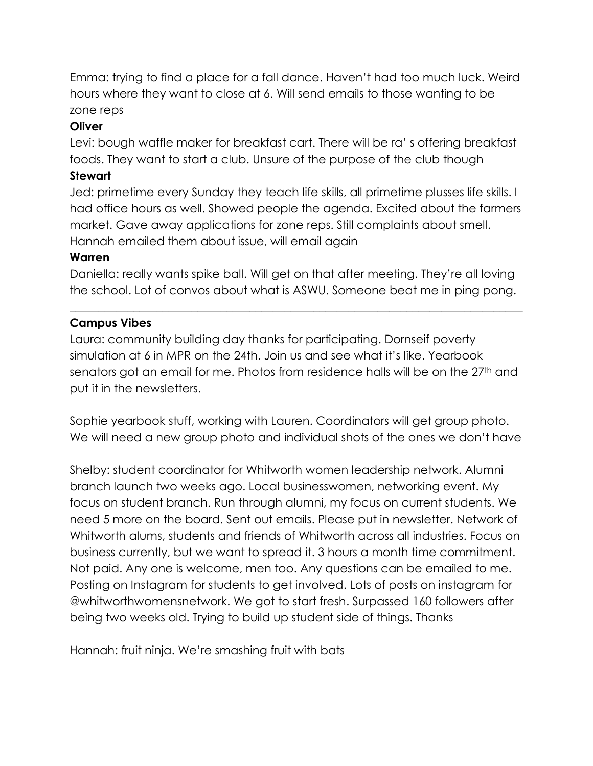Emma: trying to find a place for a fall dance. Haven't had too much luck. Weird hours where they want to close at 6. Will send emails to those wanting to be zone reps

#### **Oliver**

Levi: bough waffle maker for breakfast cart. There will be ra' s offering breakfast foods. They want to start a club. Unsure of the purpose of the club though

#### **Stewart**

Jed: primetime every Sunday they teach life skills, all primetime plusses life skills. I had office hours as well. Showed people the agenda. Excited about the farmers market. Gave away applications for zone reps. Still complaints about smell. Hannah emailed them about issue, will email again

#### **Warren**

Daniella: really wants spike ball. Will get on that after meeting. They're all loving the school. Lot of convos about what is ASWU. Someone beat me in ping pong.

\_\_\_\_\_\_\_\_\_\_\_\_\_\_\_\_\_\_\_\_\_\_\_\_\_\_\_\_\_\_\_\_\_\_\_\_\_\_\_\_\_\_\_\_\_\_\_\_\_\_\_\_\_\_\_\_\_\_\_\_\_\_\_\_\_\_\_\_\_\_\_\_\_\_\_\_\_\_

# **Campus Vibes**

Laura: community building day thanks for participating. Dornseif poverty simulation at 6 in MPR on the 24th. Join us and see what it's like. Yearbook senators got an email for me. Photos from residence halls will be on the 27<sup>th</sup> and put it in the newsletters.

Sophie yearbook stuff, working with Lauren. Coordinators will get group photo. We will need a new group photo and individual shots of the ones we don't have

Shelby: student coordinator for Whitworth women leadership network. Alumni branch launch two weeks ago. Local businesswomen, networking event. My focus on student branch. Run through alumni, my focus on current students. We need 5 more on the board. Sent out emails. Please put in newsletter. Network of Whitworth alums, students and friends of Whitworth across all industries. Focus on business currently, but we want to spread it. 3 hours a month time commitment. Not paid. Any one is welcome, men too. Any questions can be emailed to me. Posting on Instagram for students to get involved. Lots of posts on instagram for @whitworthwomensnetwork. We got to start fresh. Surpassed 160 followers after being two weeks old. Trying to build up student side of things. Thanks

Hannah: fruit ninja. We're smashing fruit with bats